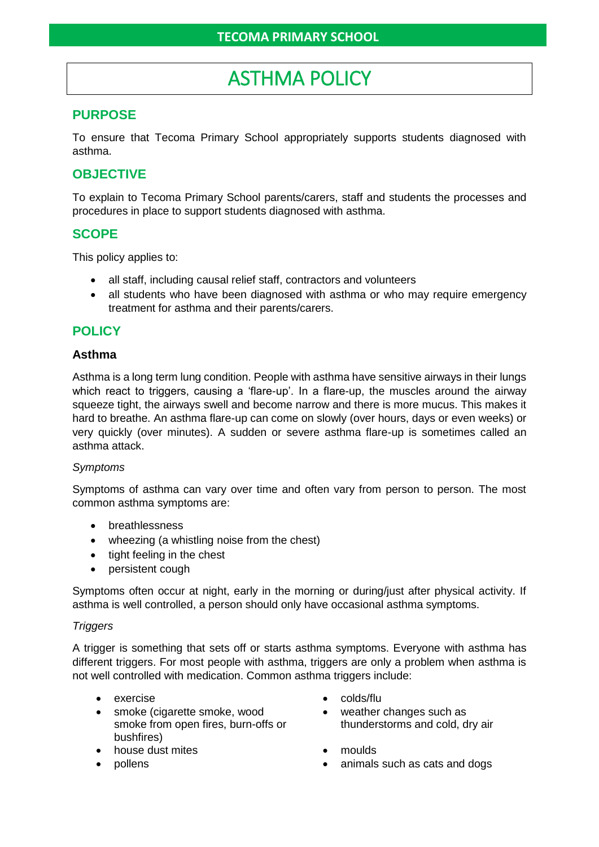# ASTHMA POLICY

# **PURPOSE**

To ensure that Tecoma Primary School appropriately supports students diagnosed with asthma.

## **OBJECTIVE**

To explain to Tecoma Primary School parents/carers, staff and students the processes and procedures in place to support students diagnosed with asthma.

## **SCOPE**

This policy applies to:

- all staff, including causal relief staff, contractors and volunteers
- all students who have been diagnosed with asthma or who may require emergency treatment for asthma and their parents/carers.

# **POLICY**

#### **Asthma**

Asthma is a long term lung condition. People with asthma have sensitive airways in their lungs which react to triggers, causing a 'flare-up'. In a flare-up, the muscles around the airway squeeze tight, the airways swell and become narrow and there is more mucus. This makes it hard to breathe. An asthma flare-up can come on slowly (over hours, days or even weeks) or very quickly (over minutes). A sudden or severe asthma flare-up is sometimes called an asthma attack.

#### *Symptoms*

Symptoms of asthma can vary over time and often vary from person to person. The most common asthma symptoms are:

- **breathlessness**
- wheezing (a whistling noise from the chest)
- tight feeling in the chest
- persistent cough

Symptoms often occur at night, early in the morning or during/just after physical activity. If asthma is well controlled, a person should only have occasional asthma symptoms.

#### *Triggers*

A trigger is something that sets off or starts asthma symptoms. Everyone with asthma has different triggers. For most people with asthma, triggers are only a problem when asthma is not well controlled with medication. Common asthma triggers include:

- 
- smoke (cigarette smoke, wood smoke from open fires, burn-offs or bushfires)
- house dust mites moulds
- 
- exercise colds/flu
	- weather changes such as thunderstorms and cold, dry air
	-
	- pollens animals such as cats and dogs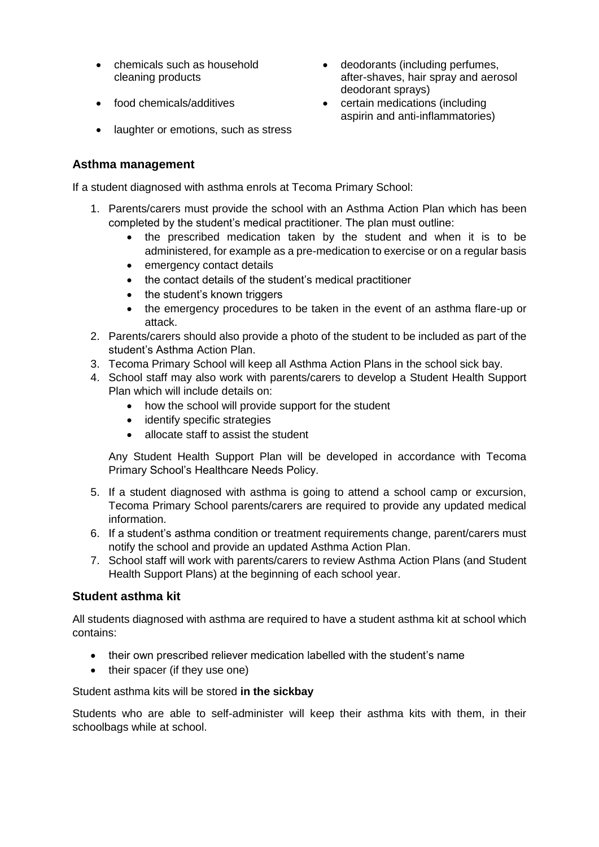- chemicals such as household cleaning products
- 
- deodorants (including perfumes, after-shaves, hair spray and aerosol deodorant sprays)
- food chemicals/additives certain medications (including aspirin and anti-inflammatories)
- laughter or emotions, such as stress

## **Asthma management**

If a student diagnosed with asthma enrols at Tecoma Primary School:

- 1. Parents/carers must provide the school with an Asthma Action Plan which has been completed by the student's medical practitioner. The plan must outline:
	- the prescribed medication taken by the student and when it is to be administered, for example as a pre-medication to exercise or on a regular basis
	- emergency contact details
	- the contact details of the student's medical practitioner
	- the student's known triggers
	- the emergency procedures to be taken in the event of an asthma flare-up or attack.
- 2. Parents/carers should also provide a photo of the student to be included as part of the student's Asthma Action Plan.
- 3. Tecoma Primary School will keep all Asthma Action Plans in the school sick bay.
- 4. School staff may also work with parents/carers to develop a Student Health Support Plan which will include details on:
	- how the school will provide support for the student
	- identify specific strategies
	- allocate staff to assist the student

Any Student Health Support Plan will be developed in accordance with Tecoma Primary School's Healthcare Needs Policy.

- 5. If a student diagnosed with asthma is going to attend a school camp or excursion, Tecoma Primary School parents/carers are required to provide any updated medical information.
- 6. If a student's asthma condition or treatment requirements change, parent/carers must notify the school and provide an updated Asthma Action Plan.
- 7. School staff will work with parents/carers to review Asthma Action Plans (and Student Health Support Plans) at the beginning of each school year.

## **Student asthma kit**

All students diagnosed with asthma are required to have a student asthma kit at school which contains:

- their own prescribed reliever medication labelled with the student's name
- their spacer (if they use one)

Student asthma kits will be stored **in the sickbay**

Students who are able to self-administer will keep their asthma kits with them, in their schoolbags while at school.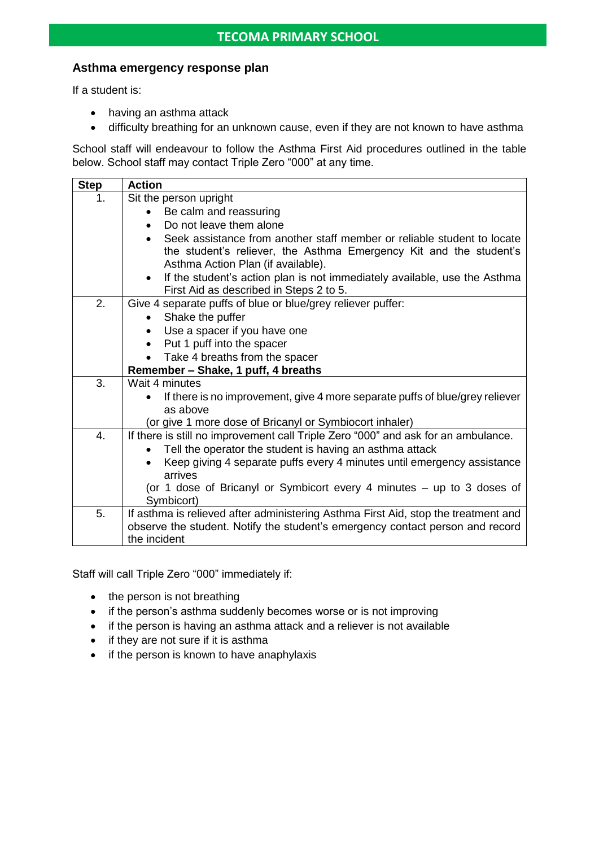#### **Asthma emergency response plan**

If a student is:

- having an asthma attack
- difficulty breathing for an unknown cause, even if they are not known to have asthma

School staff will endeavour to follow the Asthma First Aid procedures outlined in the table below. School staff may contact Triple Zero "000" at any time.

| <b>Step</b> | <b>Action</b>                                                                                                                     |  |  |  |  |  |
|-------------|-----------------------------------------------------------------------------------------------------------------------------------|--|--|--|--|--|
| 1.          | Sit the person upright                                                                                                            |  |  |  |  |  |
|             | Be calm and reassuring                                                                                                            |  |  |  |  |  |
|             | Do not leave them alone<br>$\bullet$                                                                                              |  |  |  |  |  |
|             | Seek assistance from another staff member or reliable student to locate<br>$\bullet$                                              |  |  |  |  |  |
|             | the student's reliever, the Asthma Emergency Kit and the student's                                                                |  |  |  |  |  |
|             | Asthma Action Plan (if available).                                                                                                |  |  |  |  |  |
|             | If the student's action plan is not immediately available, use the Asthma<br>$\bullet$<br>First Aid as described in Steps 2 to 5. |  |  |  |  |  |
| 2.          | Give 4 separate puffs of blue or blue/grey reliever puffer:                                                                       |  |  |  |  |  |
|             | Shake the puffer<br>$\bullet$                                                                                                     |  |  |  |  |  |
|             | Use a spacer if you have one                                                                                                      |  |  |  |  |  |
|             | Put 1 puff into the spacer<br>$\bullet$                                                                                           |  |  |  |  |  |
|             | Take 4 breaths from the spacer                                                                                                    |  |  |  |  |  |
|             | Remember - Shake, 1 puff, 4 breaths                                                                                               |  |  |  |  |  |
| 3.          | Wait 4 minutes                                                                                                                    |  |  |  |  |  |
|             | If there is no improvement, give 4 more separate puffs of blue/grey reliever                                                      |  |  |  |  |  |
|             | as above                                                                                                                          |  |  |  |  |  |
|             | (or give 1 more dose of Bricanyl or Symbiocort inhaler)                                                                           |  |  |  |  |  |
| 4.          | If there is still no improvement call Triple Zero "000" and ask for an ambulance.                                                 |  |  |  |  |  |
|             | Tell the operator the student is having an asthma attack                                                                          |  |  |  |  |  |
|             | Keep giving 4 separate puffs every 4 minutes until emergency assistance<br>arrives                                                |  |  |  |  |  |
|             | (or 1 dose of Bricanyl or Symbicort every 4 minutes – up to 3 doses of                                                            |  |  |  |  |  |
|             | Symbicort)                                                                                                                        |  |  |  |  |  |
| 5.          | If asthma is relieved after administering Asthma First Aid, stop the treatment and                                                |  |  |  |  |  |
|             | observe the student. Notify the student's emergency contact person and record<br>the incident                                     |  |  |  |  |  |
|             |                                                                                                                                   |  |  |  |  |  |

Staff will call Triple Zero "000" immediately if:

- the person is not breathing
- if the person's asthma suddenly becomes worse or is not improving
- if the person is having an asthma attack and a reliever is not available
- if they are not sure if it is asthma
- if the person is known to have anaphylaxis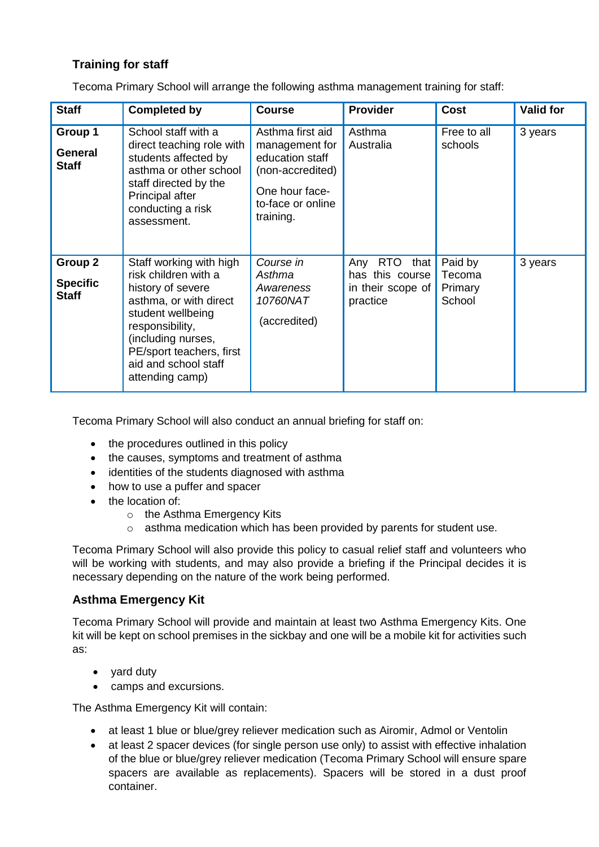# **Training for staff**

Tecoma Primary School will arrange the following asthma management training for staff:

| <b>Staff</b>                               | <b>Completed by</b>                                                                                                                                                                                                                 | <b>Course</b>                                                                                                                 | <b>Provider</b>                                                            | <b>Cost</b>                            | <b>Valid for</b> |
|--------------------------------------------|-------------------------------------------------------------------------------------------------------------------------------------------------------------------------------------------------------------------------------------|-------------------------------------------------------------------------------------------------------------------------------|----------------------------------------------------------------------------|----------------------------------------|------------------|
| Group 1<br>General<br><b>Staff</b>         | School staff with a<br>direct teaching role with<br>students affected by<br>asthma or other school<br>staff directed by the<br>Principal after<br>conducting a risk<br>assessment.                                                  | Asthma first aid<br>management for<br>education staff<br>(non-accredited)<br>One hour face-<br>to-face or online<br>training. | Asthma<br>Australia                                                        | Free to all<br>schools                 | 3 years          |
| Group 2<br><b>Specific</b><br><b>Staff</b> | Staff working with high<br>risk children with a<br>history of severe<br>asthma, or with direct<br>student wellbeing<br>responsibility,<br>(including nurses,<br>PE/sport teachers, first<br>aid and school staff<br>attending camp) | Course in<br>Asthma<br>Awareness<br>10760NAT<br>(accredited)                                                                  | RTO<br>that $ $<br>Any<br>has this course<br>in their scope of<br>practice | Paid by<br>Tecoma<br>Primary<br>School | 3 years          |

Tecoma Primary School will also conduct an annual briefing for staff on:

- the procedures outlined in this policy
- the causes, symptoms and treatment of asthma
- identities of the students diagnosed with asthma
- how to use a puffer and spacer
- the location of:
	- o the Asthma Emergency Kits
	- $\circ$  asthma medication which has been provided by parents for student use.

Tecoma Primary School will also provide this policy to casual relief staff and volunteers who will be working with students, and may also provide a briefing if the Principal decides it is necessary depending on the nature of the work being performed.

## **Asthma Emergency Kit**

Tecoma Primary School will provide and maintain at least two Asthma Emergency Kits. One kit will be kept on school premises in the sickbay and one will be a mobile kit for activities such as:

- yard duty
- camps and excursions.

The Asthma Emergency Kit will contain:

- at least 1 blue or blue/grey reliever medication such as Airomir, Admol or Ventolin
- at least 2 spacer devices (for single person use only) to assist with effective inhalation of the blue or blue/grey reliever medication (Tecoma Primary School will ensure spare spacers are available as replacements). Spacers will be stored in a dust proof container.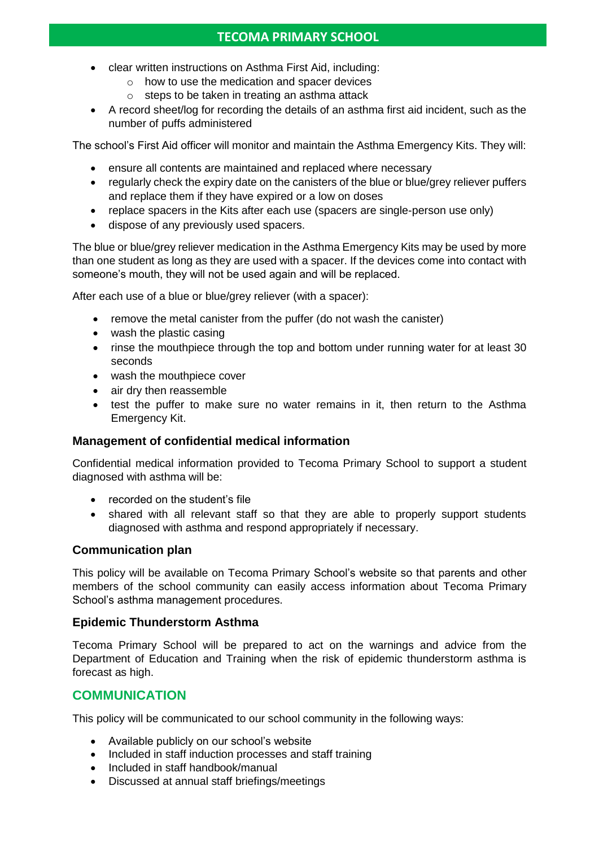- clear written instructions on Asthma First Aid, including:
	- o how to use the medication and spacer devices
	- $\circ$  steps to be taken in treating an asthma attack
- A record sheet/log for recording the details of an asthma first aid incident, such as the number of puffs administered

The school's First Aid officer will monitor and maintain the Asthma Emergency Kits. They will:

- ensure all contents are maintained and replaced where necessary
- regularly check the expiry date on the canisters of the blue or blue/grey reliever puffers and replace them if they have expired or a low on doses
- replace spacers in the Kits after each use (spacers are single-person use only)
- dispose of any previously used spacers.

The blue or blue/grey reliever medication in the Asthma Emergency Kits may be used by more than one student as long as they are used with a spacer. If the devices come into contact with someone's mouth, they will not be used again and will be replaced.

After each use of a blue or blue/grey reliever (with a spacer):

- remove the metal canister from the puffer (do not wash the canister)
- wash the plastic casing
- rinse the mouthpiece through the top and bottom under running water for at least 30 seconds
- wash the mouthpiece cover
- air dry then reassemble
- test the puffer to make sure no water remains in it, then return to the Asthma Emergency Kit.

## **Management of confidential medical information**

Confidential medical information provided to Tecoma Primary School to support a student diagnosed with asthma will be:

- recorded on the student's file
- shared with all relevant staff so that they are able to properly support students diagnosed with asthma and respond appropriately if necessary.

## **Communication plan**

This policy will be available on Tecoma Primary School's website so that parents and other members of the school community can easily access information about Tecoma Primary School's asthma management procedures.

## **Epidemic Thunderstorm Asthma**

Tecoma Primary School will be prepared to act on the warnings and advice from the Department of Education and Training when the risk of epidemic thunderstorm asthma is forecast as high.

# **COMMUNICATION**

This policy will be communicated to our school community in the following ways:

- Available publicly on our school's website
- Included in staff induction processes and staff training
- Included in staff handbook/manual
- Discussed at annual staff briefings/meetings